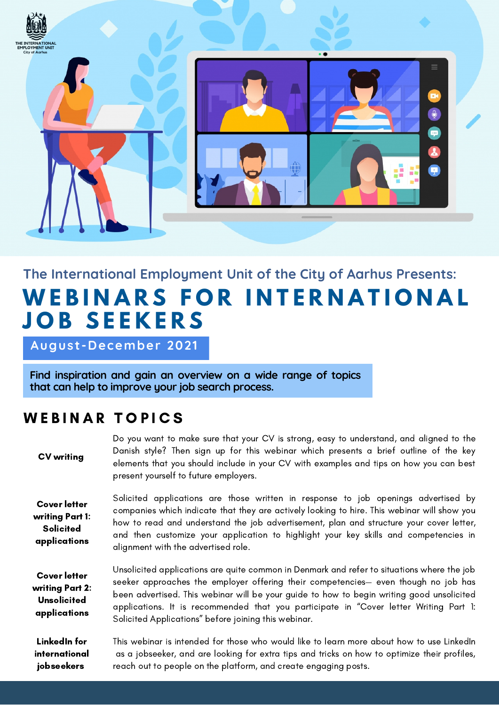

## **The International Employment Unit of the City of Aarhus Presents: W E B I N A R S F O R I N T E R N A T I O N A L J O B S E E K E R S**

**August -December 2021**

**Find inspiration and gain an overview on a wide range of topics that can help to improve your job search process.**

## WEBINAR TOPICS

Do you want to make sure that your CV is strong, easy to understand, and aligned to the Danish style? Then sign up for this webinar which presents a brief outline of the key elements that you should include in your CV with examples and tips on how you can best present yourself to future employers. CV writing

Cover letter writing Part 1: **Solicited** applications

Solicited applications are those written in response to job openings advertised by companies which indicate that they are actively looking to hire. This webinar will show you how to read and understand the job advertisement, plan and structure your cover letter, and then customize your application to highlight your key skills and competencies in alignment with the advertised role.

Unsolicited applications are quite common in Denmark and refer to situations where the job seeker approaches the employer offering their competencies— even though no job has been advertised. This webinar will be your guide to how to begin writing good unsolicited applications. It is recommended that you participate in "Cover letter Writing Part 1: Solicited Applications" before joining this webinar. Cover letter writing Part 2: **Unsolicited** applications

This webinar is intended for those who would like to learn more about how to use LinkedIn as a jobseeker, and are looking for extra tips and tricks on how to optimize their profiles, reach out to people on the platform, and create engaging posts. LinkedIn for international jobseekers